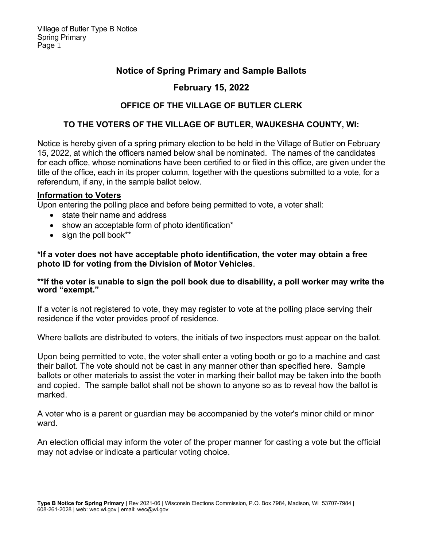# **Notice of Spring Primary and Sample Ballots**

## **February 15, 2022**

## **OFFICE OF THE VILLAGE OF BUTLER CLERK**

## **TO THE VOTERS OF THE VILLAGE OF BUTLER, WAUKESHA COUNTY, WI:**

Notice is hereby given of a spring primary election to be held in the Village of Butler on February 15, 2022, at which the officers named below shall be nominated. The names of the candidates for each office, whose nominations have been certified to or filed in this office, are given under the title of the office, each in its proper column, together with the questions submitted to a vote, for a referendum, if any, in the sample ballot below.

## **Information to Voters**

Upon entering the polling place and before being permitted to vote, a voter shall:

- state their name and address
- show an acceptable form of photo identification\*
- sign the poll book\*\*

**\*If a voter does not have acceptable photo identification, the voter may obtain a free photo ID for voting from the Division of Motor Vehicles**.

#### **\*\*If the voter is unable to sign the poll book due to disability, a poll worker may write the word "exempt."**

If a voter is not registered to vote, they may register to vote at the polling place serving their residence if the voter provides proof of residence.

Where ballots are distributed to voters, the initials of two inspectors must appear on the ballot.

Upon being permitted to vote, the voter shall enter a voting booth or go to a machine and cast their ballot. The vote should not be cast in any manner other than specified here. Sample ballots or other materials to assist the voter in marking their ballot may be taken into the booth and copied. The sample ballot shall not be shown to anyone so as to reveal how the ballot is marked.

A voter who is a parent or guardian may be accompanied by the voter's minor child or minor ward.

An election official may inform the voter of the proper manner for casting a vote but the official may not advise or indicate a particular voting choice.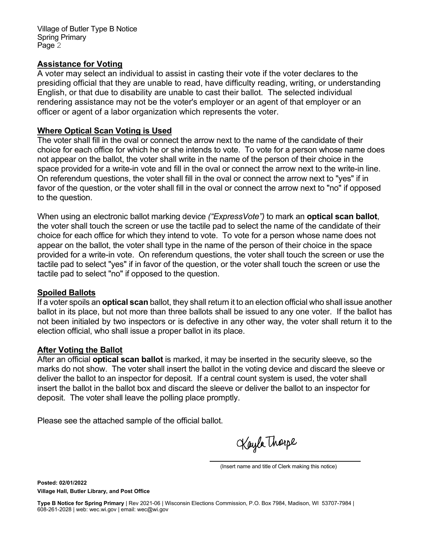## **Assistance for Voting**

A voter may select an individual to assist in casting their vote if the voter declares to the presiding official that they are unable to read, have difficulty reading, writing, or understanding English, or that due to disability are unable to cast their ballot. The selected individual rendering assistance may not be the voter's employer or an agent of that employer or an officer or agent of a labor organization which represents the voter.

## **Where Optical Scan Voting is Used**

The voter shall fill in the oval or connect the arrow next to the name of the candidate of their choice for each office for which he or she intends to vote. To vote for a person whose name does not appear on the ballot, the voter shall write in the name of the person of their choice in the space provided for a write-in vote and fill in the oval or connect the arrow next to the write-in line. On referendum questions, the voter shall fill in the oval or connect the arrow next to "yes" if in favor of the question, or the voter shall fill in the oval or connect the arrow next to "no" if opposed to the question.

When using an electronic ballot marking device *("ExpressVote")* to mark an **optical scan ballot**, the voter shall touch the screen or use the tactile pad to select the name of the candidate of their choice for each office for which they intend to vote. To vote for a person whose name does not appear on the ballot, the voter shall type in the name of the person of their choice in the space provided for a write-in vote. On referendum questions, the voter shall touch the screen or use the tactile pad to select "yes" if in favor of the question, or the voter shall touch the screen or use the tactile pad to select "no" if opposed to the question.

## **Spoiled Ballots**

If a voter spoils an **optical scan** ballot, they shall return it to an election official who shall issue another ballot in its place, but not more than three ballots shall be issued to any one voter. If the ballot has not been initialed by two inspectors or is defective in any other way, the voter shall return it to the election official, who shall issue a proper ballot in its place.

## **After Voting the Ballot**

After an official **optical scan ballot** is marked, it may be inserted in the security sleeve, so the marks do not show. The voter shall insert the ballot in the voting device and discard the sleeve or deliver the ballot to an inspector for deposit. If a central count system is used, the voter shall insert the ballot in the ballot box and discard the sleeve or deliver the ballot to an inspector for deposit. The voter shall leave the polling place promptly.

Please see the attached sample of the official ballot.

Kayla Therpe

(Insert name and title of Clerk making this notice)

**Posted: 02/01/2022 Village Hall, Butler Library, and Post Office**

**Type B Notice for Spring Primary** | Rev 2021-06 | Wisconsin Elections Commission, P.O. Box 7984, Madison, WI 53707-7984 | 608-261-2028 | web: wec.wi.gov | email: wec@wi.gov